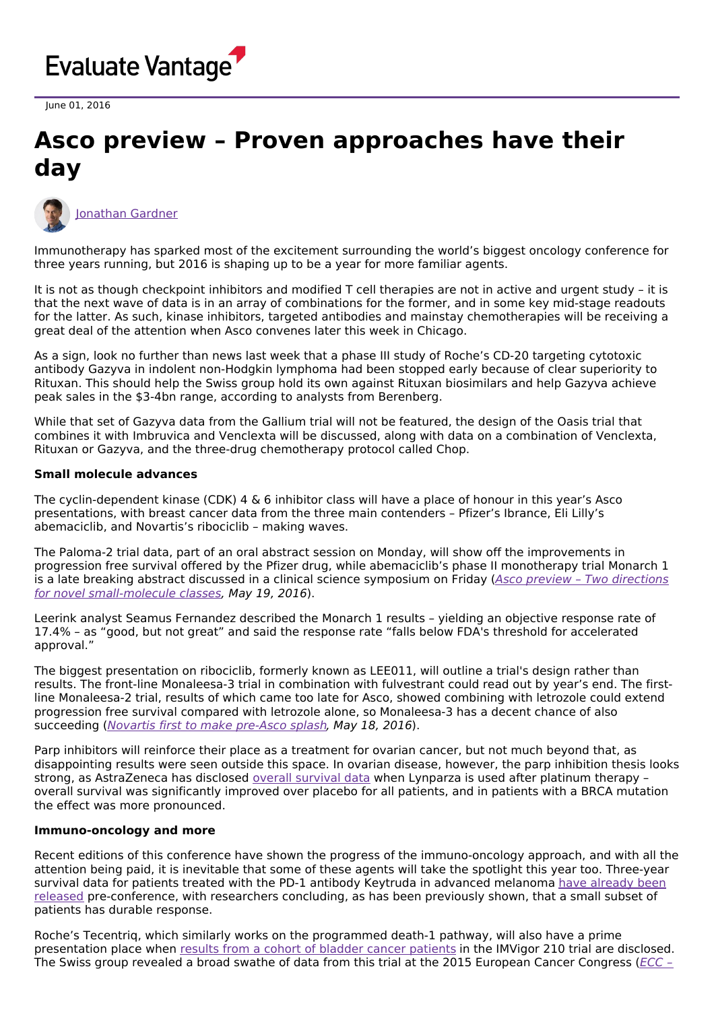

June 01, 2016

# **Asco preview – Proven approaches have their day**



[Jonathan](https://www.evaluate.com/vantage/editorial-team/jonathan-gardner) Gardner

Immunotherapy has sparked most of the excitement surrounding the world's biggest oncology conference for three years running, but 2016 is shaping up to be a year for more familiar agents.

It is not as though checkpoint inhibitors and modified T cell therapies are not in active and urgent study – it is that the next wave of data is in an array of combinations for the former, and in some key mid-stage readouts for the latter. As such, kinase inhibitors, targeted antibodies and mainstay chemotherapies will be receiving a great deal of the attention when Asco convenes later this week in Chicago.

As a sign, look no further than news last week that a phase III study of Roche's CD-20 targeting cytotoxic antibody Gazyva in indolent non-Hodgkin lymphoma had been stopped early because of clear superiority to Rituxan. This should help the Swiss group hold its own against Rituxan biosimilars and help Gazyva achieve peak sales in the \$3-4bn range, according to analysts from Berenberg.

While that set of Gazyva data from the Gallium trial will not be featured, the design of the Oasis trial that combines it with Imbruvica and Venclexta will be discussed, along with data on a combination of Venclexta, Rituxan or Gazyva, and the three-drug chemotherapy protocol called Chop.

#### **Small molecule advances**

The cyclin-dependent kinase (CDK) 4 & 6 inhibitor class will have a place of honour in this year's Asco presentations, with breast cancer data from the three main contenders – Pfizer's Ibrance, Eli Lilly's abemaciclib, and Novartis's ribociclib – making waves.

The Paloma-2 trial data, part of an oral abstract session on Monday, will show off the improvements in progression free survival offered by the Pfizer drug, while abemaciclib's phase II monotherapy trial Monarch 1 is a late breaking abstract discussed in a clinical science symposium on Friday (Asco preview - Two directions for novel [small-molecule](http://epvantage.com/Universal/View.aspx?type=Story&id=639770&isEPVantage=yes) classes, May 19, 2016).

Leerink analyst Seamus Fernandez described the Monarch 1 results – yielding an objective response rate of 17.4% – as "good, but not great" and said the response rate "falls below FDA's threshold for accelerated approval."

The biggest presentation on ribociclib, formerly known as LEE011, will outline a trial's design rather than results. The front-line Monaleesa-3 trial in combination with fulvestrant could read out by year's end. The firstline Monaleesa-2 trial, results of which came too late for Asco, showed combining with letrozole could extend progression free survival compared with letrozole alone, so Monaleesa-3 has a decent chance of also succeeding (Novartis first to make [pre-Asco](http://epvantage.com/Universal/View.aspx?type=Story&id=639447&isEPVantage=yes) splash, May 18, 2016).

Parp inhibitors will reinforce their place as a treatment for ovarian cancer, but not much beyond that, as disappointing results were seen outside this space. In ovarian disease, however, the parp inhibition thesis looks strong, as AstraZeneca has disclosed overall [survival](http://abstract.asco.org/176/AbstView_176_166142.html) data when Lynparza is used after platinum therapy – overall survival was significantly improved over placebo for all patients, and in patients with a BRCA mutation the effect was more pronounced.

#### **Immuno-oncology and more**

Recent editions of this conference have shown the progress of the immuno-oncology approach, and with all the attention being paid, it is inevitable that some of these agents will take the spotlight this year too. Three-year survival data for patients treated with the PD-1 antibody Keytruda in advanced melanoma have already been released [pre-conference,](http://abstract.asco.org/176/AbstView_176_167363.html) with researchers concluding, as has been previously shown, that a small subset of patients has durable response.

Roche's Tecentriq, which similarly works on the programmed death-1 pathway, will also have a prime presentation place when results from a cohort of bladder cancer [patients](http://abstract.asco.org/176/AbstView_176_170759.html) in the IMVigor 210 trial are disclosed. The Swiss group revealed a broad swathe of data from this trial at the 2015 [European](http://epvantage.com/Universal/View.aspx?type=Story&id=597711&isEPVantage=yes) Cancer Congress (ECC -